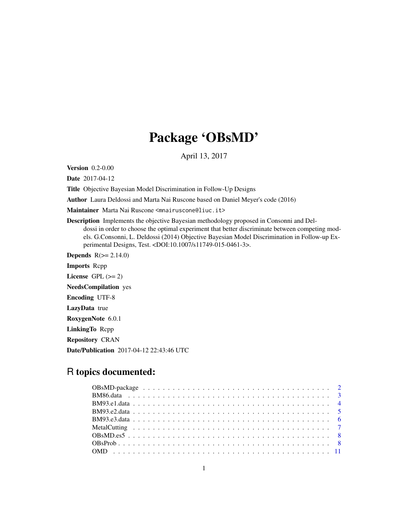# Package 'OBsMD'

April 13, 2017

<span id="page-0-0"></span>Version 0.2-0.00

Date 2017-04-12

Title Objective Bayesian Model Discrimination in Follow-Up Designs

Author Laura Deldossi and Marta Nai Ruscone based on Daniel Meyer's code (2016)

Maintainer Marta Nai Ruscone <mnairuscone@liuc.it>

Description Implements the objective Bayesian methodology proposed in Consonni and Deldossi in order to choose the optimal experiment that better discriminate between competing models. G.Consonni, L. Deldossi (2014) Objective Bayesian Model Discrimination in Follow-up Experimental Designs, Test. <DOI:10.1007/s11749-015-0461-3>.

**Depends**  $R(>= 2.14.0)$ 

Imports Rcpp License GPL  $(>= 2)$ NeedsCompilation yes

Encoding UTF-8

LazyData true

RoxygenNote 6.0.1

LinkingTo Rcpp

Repository CRAN

Date/Publication 2017-04-12 22:43:46 UTC

# R topics documented: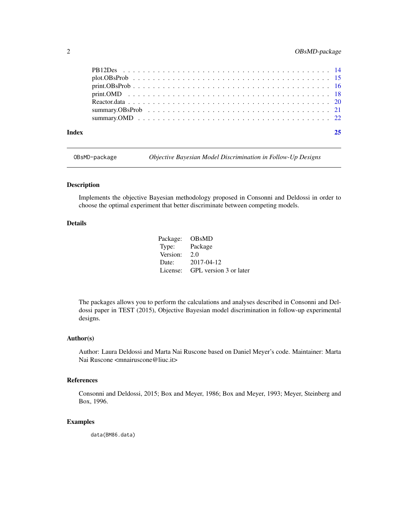# <span id="page-1-0"></span>2 OBsMD-package

| Index |  |
|-------|--|
|       |  |
|       |  |
|       |  |
|       |  |
|       |  |
|       |  |
|       |  |
|       |  |

OBsMD-package *Objective Bayesian Model Discrimination in Follow-Up Designs*

#### Description

Implements the objective Bayesian methodology proposed in Consonni and Deldossi in order to choose the optimal experiment that better discriminate between competing models.

# Details

Package: OBsMD Type: Package Version: 2.0 Date: 2017-04-12 License: GPL version 3 or later

The packages allows you to perform the calculations and analyses described in Consonni and Deldossi paper in TEST (2015), Objective Bayesian model discrimination in follow-up experimental designs.

# Author(s)

Author: Laura Deldossi and Marta Nai Ruscone based on Daniel Meyer's code. Maintainer: Marta Nai Ruscone <mnairuscone@liuc.it>

#### References

Consonni and Deldossi, 2015; Box and Meyer, 1986; Box and Meyer, 1993; Meyer, Steinberg and Box, 1996.

#### Examples

data(BM86.data)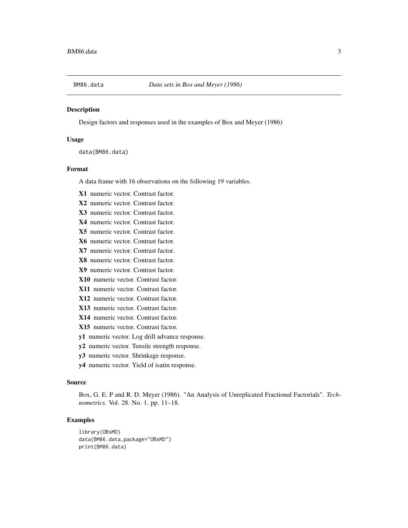<span id="page-2-0"></span>

Design factors and responses used in the examples of Box and Meyer (1986)

#### Usage

data(BM86.data)

#### Format

A data frame with 16 observations on the following 19 variables.

X1 numeric vector. Contrast factor.

X2 numeric vector. Contrast factor.

X3 numeric vector. Contrast factor.

X4 numeric vector. Contrast factor.

X5 numeric vector. Contrast factor.

- X6 numeric vector. Contrast factor.
- X7 numeric vector. Contrast factor.
- X8 numeric vector. Contrast factor.
- X9 numeric vector. Contrast factor.
- X10 numeric vector. Contrast factor.
- X11 numeric vector. Contrast factor.
- X12 numeric vector. Contrast factor.
- X13 numeric vector. Contrast factor.
- X14 numeric vector. Contrast factor.
- X15 numeric vector. Contrast factor.
- y1 numeric vector. Log drill advance response.
- y2 numeric vector. Tensile strength response.
- y3 numeric vector. Shrinkage response.
- y4 numeric vector. Yield of isatin response.

# Source

Box, G. E. P and R. D. Meyer (1986). "An Analysis of Unreplicated Fractional Factorials". *Technometrics.* Vol. 28. No. 1. pp. 11–18.

```
library(OBsMD)
data(BM86.data,package="OBsMD")
print(BM86.data)
```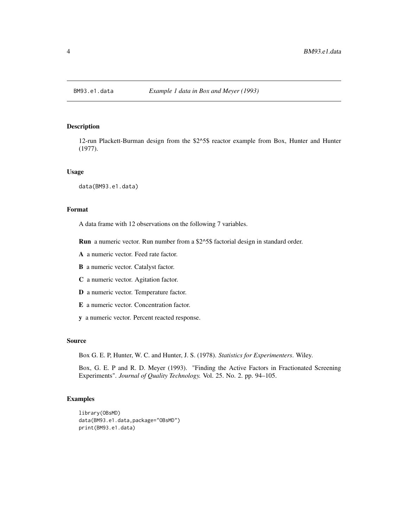<span id="page-3-0"></span>

12-run Plackett-Burman design from the \$2^5\$ reactor example from Box, Hunter and Hunter (1977).

#### Usage

data(BM93.e1.data)

# Format

A data frame with 12 observations on the following 7 variables.

Run a numeric vector. Run number from a \$2^5\$ factorial design in standard order.

- A a numeric vector. Feed rate factor.
- B a numeric vector. Catalyst factor.
- C a numeric vector. Agitation factor.
- D a numeric vector. Temperature factor.
- E a numeric vector. Concentration factor.
- y a numeric vector. Percent reacted response.

# Source

Box G. E. P, Hunter, W. C. and Hunter, J. S. (1978). *Statistics for Experimenters*. Wiley.

Box, G. E. P and R. D. Meyer (1993). "Finding the Active Factors in Fractionated Screening Experiments". *Journal of Quality Technology.* Vol. 25. No. 2. pp. 94–105.

```
library(OBsMD)
data(BM93.e1.data,package="OBsMD")
print(BM93.e1.data)
```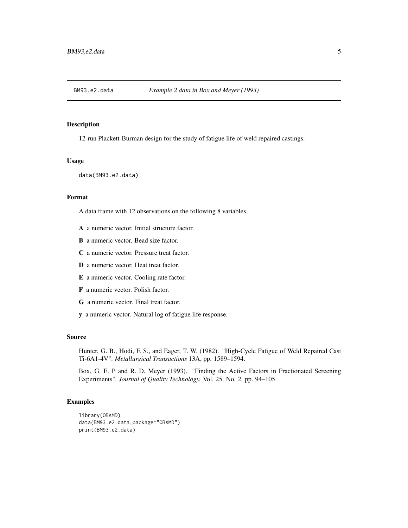<span id="page-4-0"></span>

12-run Plackett-Burman design for the study of fatigue life of weld repaired castings.

### Usage

data(BM93.e2.data)

# Format

A data frame with 12 observations on the following 8 variables.

- A a numeric vector. Initial structure factor.
- B a numeric vector. Bead size factor.
- C a numeric vector. Pressure treat factor.
- D a numeric vector. Heat treat factor.
- E a numeric vector. Cooling rate factor.
- F a numeric vector. Polish factor.
- G a numeric vector. Final treat factor.
- y a numeric vector. Natural log of fatigue life response.

#### Source

Hunter, G. B., Hodi, F. S., and Eager, T. W. (1982). "High-Cycle Fatigue of Weld Repaired Cast Ti-6A1-4V". *Metallurgical Transactions* 13A, pp. 1589–1594.

Box, G. E. P and R. D. Meyer (1993). "Finding the Active Factors in Fractionated Screening Experiments". *Journal of Quality Technology.* Vol. 25. No. 2. pp. 94–105.

```
library(OBsMD)
data(BM93.e2.data,package="OBsMD")
print(BM93.e2.data)
```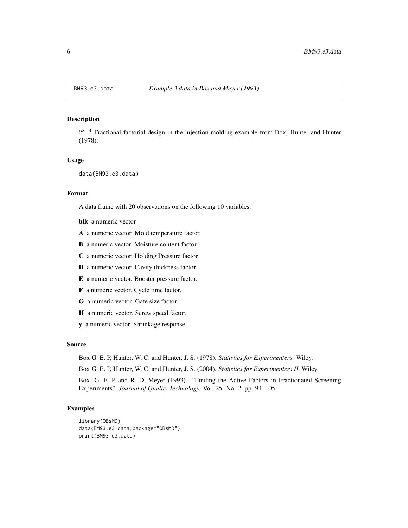<span id="page-5-0"></span> $2^{8-4}$  Fractional factorial design in the injection molding example from Box, Hunter and Hunter (1978).

#### Usage

```
data(BM93.e3.data)
```
#### Format

A data frame with 20 observations on the following 10 variables.

blk a numeric vector

A a numeric vector. Mold temperature factor.

B a numeric vector. Moisture content factor.

C a numeric vector. Holding Pressure factor.

D a numeric vector. Cavity thickness factor.

E a numeric vector. Booster pressure factor.

F a numeric vector. Cycle time factor.

G a numeric vector. Gate size factor.

H a numeric vector. Screw speed factor.

y a numeric vector. Shrinkage response.

#### Source

Box G. E. P, Hunter, W. C. and Hunter, J. S. (1978). *Statistics for Experimenters*. Wiley.

Box G. E. P, Hunter, W. C. and Hunter, J. S. (2004). *Statistics for Experimenters II*. Wiley.

Box, G. E. P and R. D. Meyer (1993). "Finding the Active Factors in Fractionated Screening Experiments". *Journal of Quality Technology.* Vol. 25. No. 2. pp. 94–105.

```
library(OBsMD)
data(BM93.e3.data,package="OBsMD")
print(BM93.e3.data)
```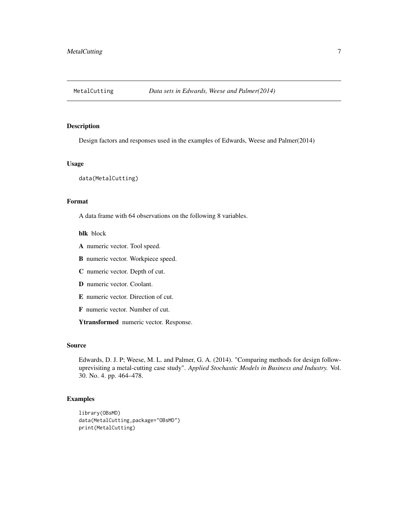<span id="page-6-0"></span>

Design factors and responses used in the examples of Edwards, Weese and Palmer(2014)

#### Usage

data(MetalCutting)

# Format

A data frame with 64 observations on the following 8 variables.

#### blk block

- A numeric vector. Tool speed.
- B numeric vector. Workpiece speed.
- C numeric vector. Depth of cut.
- D numeric vector. Coolant.
- E numeric vector. Direction of cut.
- F numeric vector. Number of cut.

Ytransformed numeric vector. Response.

# Source

Edwards, D. J. P; Weese, M. L. and Palmer, G. A. (2014). "Comparing methods for design followuprevisiting a metal-cutting case study". *Applied Stochastic Models in Business and Industry.* Vol. 30. No. 4. pp. 464–478.

```
library(OBsMD)
data(MetalCutting,package="OBsMD")
print(MetalCutting)
```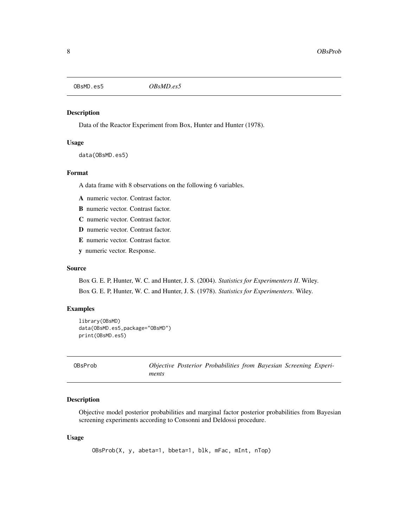<span id="page-7-0"></span>OBsMD.es5 *OBsMD.es5*

#### Description

Data of the Reactor Experiment from Box, Hunter and Hunter (1978).

# Usage

data(OBsMD.es5)

# Format

A data frame with 8 observations on the following 6 variables.

A numeric vector. Contrast factor.

B numeric vector. Contrast factor.

C numeric vector. Contrast factor.

D numeric vector. Contrast factor.

E numeric vector. Contrast factor.

y numeric vector. Response.

#### Source

Box G. E. P, Hunter, W. C. and Hunter, J. S. (2004). *Statistics for Experimenters II*. Wiley. Box G. E. P, Hunter, W. C. and Hunter, J. S. (1978). *Statistics for Experimenters*. Wiley.

# Examples

```
library(OBsMD)
data(OBsMD.es5,package="OBsMD")
print(OBsMD.es5)
```
<span id="page-7-1"></span>OBsProb *Objective Posterior Probabilities from Bayesian Screening Experiments*

# Description

Objective model posterior probabilities and marginal factor posterior probabilities from Bayesian screening experiments according to Consonni and Deldossi procedure.

#### Usage

OBsProb(X, y, abeta=1, bbeta=1, blk, mFac, mInt, nTop)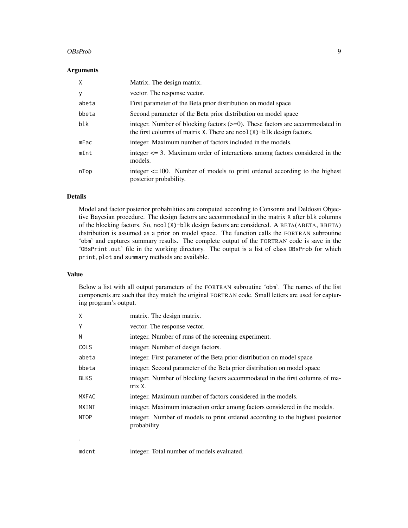#### OBsProb 9

#### **Arguments**

| X     | Matrix. The design matrix.                                                                                                                                       |
|-------|------------------------------------------------------------------------------------------------------------------------------------------------------------------|
| y     | vector. The response vector.                                                                                                                                     |
| abeta | First parameter of the Beta prior distribution on model space                                                                                                    |
| bbeta | Second parameter of the Beta prior distribution on model space                                                                                                   |
| blk   | integer. Number of blocking factors $(\geq=0)$ . These factors are accommodated in<br>the first columns of matrix $X$ . There are $ncol(X)$ -blk design factors. |
| mFac  | integer. Maximum number of factors included in the models.                                                                                                       |
| mInt  | integer $\leq$ 3. Maximum order of interactions among factors considered in the<br>models.                                                                       |
| nTop  | integer $\leq$ =100. Number of models to print ordered according to the highest<br>posterior probability.                                                        |

#### Details

Model and factor posterior probabilities are computed according to Consonni and Deldossi Objective Bayesian procedure. The design factors are accommodated in the matrix X after blk columns of the blocking factors. So,  $\text{ncol}(X)$ -blk design factors are considered. A BETA(ABETA, BBETA) distribution is assumed as a prior on model space. The function calls the FORTRAN subroutine 'obm' and captures summary results. The complete output of the FORTRAN code is save in the 'OBsPrint.out' file in the working directory. The output is a list of class OBsProb for which print, plot and summary methods are available.

#### Value

Below a list with all output parameters of the FORTRAN subroutine 'obm'. The names of the list components are such that they match the original FORTRAN code. Small letters are used for capturing program's output.

| X            | matrix. The design matrix.                                                                   |
|--------------|----------------------------------------------------------------------------------------------|
| Y            | vector. The response vector.                                                                 |
| N            | integer. Number of runs of the screening experiment.                                         |
| <b>COLS</b>  | integer. Number of design factors.                                                           |
| abeta        | integer. First parameter of the Beta prior distribution on model space                       |
| bbeta        | integer. Second parameter of the Beta prior distribution on model space                      |
| <b>BLKS</b>  | integer. Number of blocking factors accommodated in the first columns of ma-<br>trix X.      |
| <b>MXFAC</b> | integer. Maximum number of factors considered in the models.                                 |
| <b>MXINT</b> | integer. Maximum interaction order among factors considered in the models.                   |
| <b>NTOP</b>  | integer. Number of models to print ordered according to the highest posterior<br>probability |
|              |                                                                                              |

mdcnt integer. Total number of models evaluated.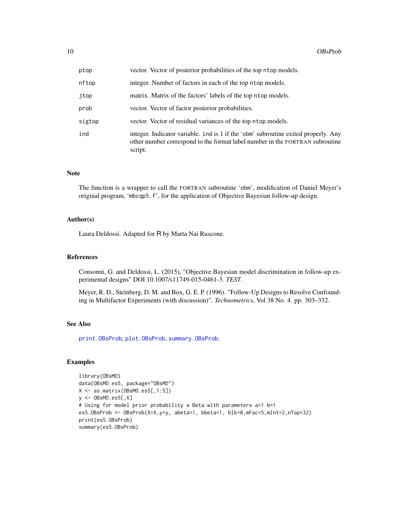<span id="page-9-0"></span>

| ptop   | vector. Vector of posterior probabilities of the top ntop models.                                                                                                             |
|--------|-------------------------------------------------------------------------------------------------------------------------------------------------------------------------------|
| nftop  | integer. Number of factors in each of the top ntop models.                                                                                                                    |
| jtop   | matrix. Matrix of the factors' labels of the top notop models.                                                                                                                |
| prob   | vector. Vector of factor posterior probabilities.                                                                                                                             |
| sigtop | vector. Vector of residual variances of the top ntop models.                                                                                                                  |
| ind    | integer. Indicator variable. ind is 1 if the 'obm' subroutine exited properly. Any<br>other number correspond to the format label number in the FORTRAN subroutine<br>script. |

### Note

The function is a wrapper to call the FORTRAN subroutine 'obm', modification of Daniel Meyer's original program, 'mbcqp5.f', for the application of Objective Bayesian follow-up design.

# Author(s)

Laura Deldossi. Adapted for R by Marta Nai Ruscone.

# References

Consonni, G. and Deldossi, L. (2015), "Objective Bayesian model discrimination in follow-up experimental designs" DOI 10.1007/s11749-015-0461-3. *TEST*.

Meyer, R. D., Steinberg, D. M. and Box, G. E. P. (1996). "Follow-Up Designs to Resolve Confounding in Multifactor Experiments (with discussion)". *Technometrics*, Vol 38 No. 4. pp. 303–332.

#### See Also

[print.OBsProb](#page-15-1), [plot.OBsProb](#page-14-1), [summary.OBsProb](#page-20-1).

```
library(OBsMD)
data(OBsMD.es5, package="OBsMD")
X <- as.matrix(OBsMD.es5[,1:5])
y <- OBsMD.es5[,6]
# Using for model prior probability a Beta with parameters a=1 b=1
es5.OBsProb <- OBsProb(X=X,y=y, abeta=1, bbeta=1, blk=0,mFac=5,mInt=2,nTop=32)
print(es5.OBsProb)
summary(es5.OBsProb)
```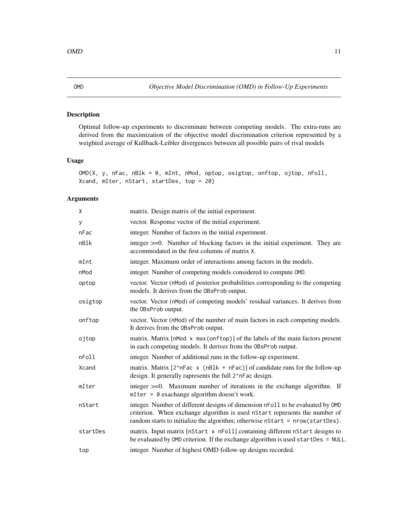<span id="page-10-1"></span><span id="page-10-0"></span>Optimal follow-up experiments to discriminate between competing models. The extra-runs are derived from the maximization of the objective model discrimination criterion represented by a weighted average of Kullback-Leibler divergences between all possible pairs of rival models

# Usage

```
OMD(X, y, nFac, nBlk = 0, mInt, nMod, optop, osigtop, onftop, ojtop, nFoll,
Xcand, mIter, nStart, startDes, top = 20)
```
#### Arguments

| Χ        | matrix. Design matrix of the initial experiment.                                                                                                                                                                                              |
|----------|-----------------------------------------------------------------------------------------------------------------------------------------------------------------------------------------------------------------------------------------------|
| У        | vector. Response vector of the initial experiment.                                                                                                                                                                                            |
| nFac     | integer. Number of factors in the initial experiment.                                                                                                                                                                                         |
| nBlk     | integer $\geq$ =0. Number of blocking factors in the initial experiment. They are<br>accommodated in the first columns of matrix X.                                                                                                           |
| mInt     | integer. Maximum order of interactions among factors in the models.                                                                                                                                                                           |
| nMod     | integer. Number of competing models considered to compute OMD.                                                                                                                                                                                |
| optop    | vector. Vector (nMod) of posterior probabilities corresponding to the competing<br>models. It derives from the OBsProb output.                                                                                                                |
| osigtop  | vector. Vector (nMod) of competing models' residual variances. It derives from<br>the OBsProb output.                                                                                                                                         |
| onftop   | vector. Vector (nMod) of the number of main factors in each competing models.<br>It derives from the OBsProb output.                                                                                                                          |
| ojtop    | matrix. Matrix [nMod x max(onftop)] of the labels of the main factors present<br>in each competing models. It derives from the OBsProb output.                                                                                                |
| nFoll    | integer. Number of additional runs in the follow-up experiment.                                                                                                                                                                               |
| Xcand    | matrix. Matrix $[2^n nFac \times (nBlk + nFac)]$ of candidate runs for the follow-up<br>design. It generally rapresents the full 2 <sup>^</sup> nFac design.                                                                                  |
| mIter    | integer $>=0$ . Maximum number of iterations in the exchange algorithm. If<br>$m$ Iter = 0 exachange algorithm doesn't work.                                                                                                                  |
| nStart   | integer. Number of different designs of dimension nFoll to be evaluated by OMD<br>criterion. When exchange algorithm is used nStart represents the number of<br>random starts to initialize the algorithm; otherwise nStart = nrow(startDes). |
| startDes | matrix. Input matrix [nStart x nFoll] containing different nStart designs to<br>be evaluated by OMD criterion. If the exchange algorithm is used startDes = NULL.                                                                             |
| top      | integer. Number of highest OMD follow-up designs recorded.                                                                                                                                                                                    |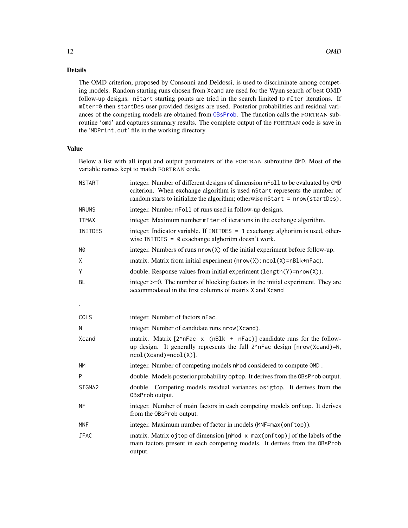# Details

The OMD criterion, proposed by Consonni and Deldossi, is used to discriminate among competing models. Random starting runs chosen from Xcand are used for the Wynn search of best OMD follow-up designs. nStart starting points are tried in the search limited to mIter iterations. If mIter=0 then startDes user-provided designs are used. Posterior probabilities and residual variances of the competing models are obtained from [OBsProb](#page-7-1). The function calls the FORTRAN subroutine 'omd' and captures summary results. The complete output of the FORTRAN code is save in the 'MDPrint.out' file in the working directory.

# Value

Below a list with all input and output parameters of the FORTRAN subroutine OMD. Most of the variable names kept to match FORTRAN code.

| <b>NSTART</b> | integer. Number of different designs of dimension nFoll to be evaluated by OMD<br>criterion. When exchange algorithm is used nStart represents the number of<br>random starts to initialize the algorithm; otherwise nStart = nrow(startDes). |
|---------------|-----------------------------------------------------------------------------------------------------------------------------------------------------------------------------------------------------------------------------------------------|
| <b>NRUNS</b>  | integer. Number nFoll of runs used in follow-up designs.                                                                                                                                                                                      |
| <b>ITMAX</b>  | integer. Maximum number mI ter of iterations in the exchange algorithm.                                                                                                                                                                       |
| INITDES       | integer. Indicator variable. If INITDES = 1 exachange alghoritm is used, other-<br>wise INITDES = $\theta$ exachange alghoritm doesn't work.                                                                                                  |
| <b>N0</b>     | integer. Numbers of runs nrow(X) of the initial experiment before follow-up.                                                                                                                                                                  |
| X             | matrix. Matrix from initial experiment (nrow(X); ncol(X)=nBlk+nFac).                                                                                                                                                                          |
| Υ             | double. Response values from initial experiment (length(Y)=nrow(X)).                                                                                                                                                                          |
| <b>BL</b>     | integer >=0. The number of blocking factors in the initial experiment. They are<br>accommodated in the first columns of matrix X and Xcand                                                                                                    |
| $\bullet$     |                                                                                                                                                                                                                                               |
| COLS          | integer. Number of factors nFac.                                                                                                                                                                                                              |
| N             | integer. Number of candidate runs nrow(Xcand).                                                                                                                                                                                                |
| Xcand         | matrix. Matrix [2^nFac x (nBlk + nFac)] candidate runs for the follow-<br>up design. It generally represents the full 2^nFac design [nrow(Xcand)=N,<br>$ncol(Xcand)=ncol(X)$ ].                                                               |
| <b>NM</b>     | integer. Number of competing models nMod considered to compute OMD.                                                                                                                                                                           |
| P             | double. Models posterior probability optop. It derives from the OBsProb output.                                                                                                                                                               |
| SIGMA2        | double. Competing models residual variances osigtop. It derives from the<br>0BsProb output.                                                                                                                                                   |
| <b>NF</b>     | integer. Number of main factors in each competing models onftop. It derives<br>from the OBsProb output.                                                                                                                                       |
| <b>MNF</b>    | integer. Maximum number of factor in models (MNF=max(onftop)).                                                                                                                                                                                |
| <b>JFAC</b>   | matrix. Matrix ojtop of dimension [nMod x max(onftop)] of the labels of the<br>main factors present in each competing models. It derives from the OBsProb<br>output.                                                                          |

<span id="page-11-0"></span>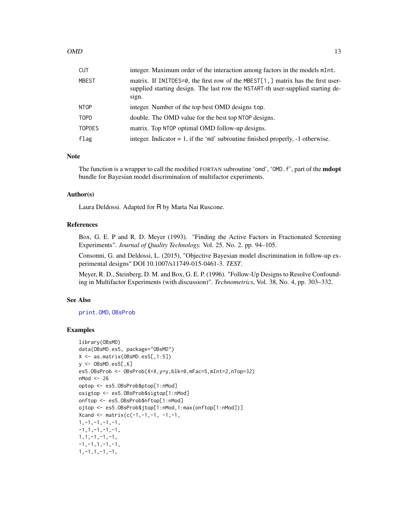<span id="page-12-0"></span>

| CUT    | integer. Maximum order of the interaction among factors in the models mInt.                                                                                                 |
|--------|-----------------------------------------------------------------------------------------------------------------------------------------------------------------------------|
| MBEST  | matrix. If INITDES=0, the first row of the MBEST[1,] matrix has the first user-<br>supplied starting design. The last row the NSTART-th user-supplied starting de-<br>sign. |
| NTOP   | integer. Number of the top best OMD designs top.                                                                                                                            |
| TOPD   | double. The OMD value for the best top NTOP designs.                                                                                                                        |
| TOPDES | matrix. Top NTOP optimal OMD follow-up designs.                                                                                                                             |
| flag   | integer. Indicator = $1$ , if the 'md' subroutine finished properly, $-1$ otherwise.                                                                                        |

#### Note

The function is a wrapper to call the modified FORTAN subroutine 'omd', 'OMD. f', part of the **mdopt** bundle for Bayesian model discrimination of multifactor experiments.

### Author(s)

Laura Deldossi. Adapted for R by Marta Nai Ruscone.

#### References

Box, G. E. P and R. D. Meyer (1993). "Finding the Active Factors in Fractionated Screening Experiments". *Journal of Quality Technology.* Vol. 25. No. 2. pp. 94–105.

Consonni, G. and Deldossi, L. (2015), "Objective Bayesian model discrimination in follow-up experimental designs" DOI 10.1007/s11749-015-0461-3. *TEST*.

Meyer, R. D., Steinberg, D. M. and Box, G. E. P. (1996). "Follow-Up Designs to Resolve Confounding in Multifactor Experiments (with discussion)". *Technometrics*, Vol. 38, No. 4, pp. 303–332.

#### See Also

[print.OMD](#page-17-1), [OBsProb](#page-7-1)

```
library(OBsMD)
data(OBsMD.es5, package="OBsMD")
X <- as.matrix(OBsMD.es5[,1:5])
y \le - OBsMD.es5[,6]
es5.OBsProb <- OBsProb(X=X,y=y,blk=0,mFac=5,mInt=2,nTop=32)
nMod <- 26
optop <- es5.OBsProb$ptop[1:nMod]
osigtop <- es5.OBsProb$sigtop[1:nMod]
onftop <- es5.OBsProb$nftop[1:nMod]
ojtop <- es5.OBsProb$jtop[1:nMod,1:max(onftop[1:nMod])]
Xcand <- matrix(c(-1,-1,-1,-1,-1,-1),
1, -1, -1, -1, -1,-1,1,-1,-1,-1,1,1,-1,-1,-1,
-1, -1, 1, -1, -1,1,-1,1,-1,-1,
```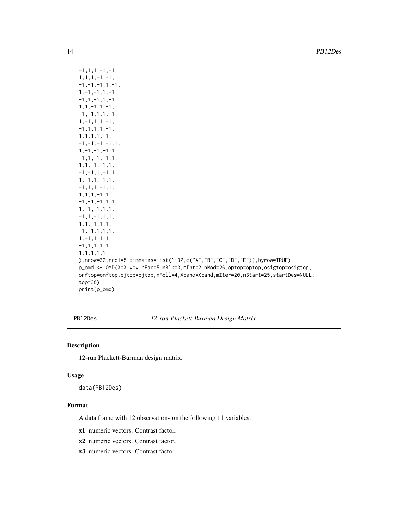```
-1,1,1,-1,-1,1,1,1,-1,-1,
-1, -1, -1, 1, -1,1,-1,-1,1,-1,
-1, 1, -1, 1, -1,1,1,-1,1,-1,
-1, -1, 1, 1, -1,1,-1,1,1,-1,
-1,1,1,1,-1,1,1,1,1,-1,
-1, -1, -1, -1, 1,1,-1,-1,-1,1,
-1, 1, -1, -1, 1,1,1,-1,-1,1,
-1, -1, 1, -1, 1,1,-1,1,-1,1,
-1,1,1,-1,1,
1,1,1,-1,1,
-1, -1, -1, 1, 1,1,-1,-1,1,1,
-1,1,-1,1,1,
1,1,-1,1,1,
-1, -1, 1, 1, 1,1,-1,1,1,1,
-1,1,1,1,1,
1,1,1,1,1
),nrow=32,ncol=5,dimnames=list(1:32,c("A","B","C","D","E")),byrow=TRUE)
p_omd <- OMD(X=X,y=y,nFac=5,nBlk=0,mInt=2,nMod=26,optop=optop,osigtop=osigtop,
onftop=onftop,ojtop=ojtop,nFoll=4,Xcand=Xcand,mIter=20,nStart=25,startDes=NULL,
top=30)
print(p_omd)
```
PB12Des *12-run Plackett-Burman Design Matrix*

# Description

12-run Plackett-Burman design matrix.

#### Usage

data(PB12Des)

## Format

A data frame with 12 observations on the following 11 variables.

x1 numeric vectors. Contrast factor.

x2 numeric vectors. Contrast factor.

x3 numeric vectors. Contrast factor.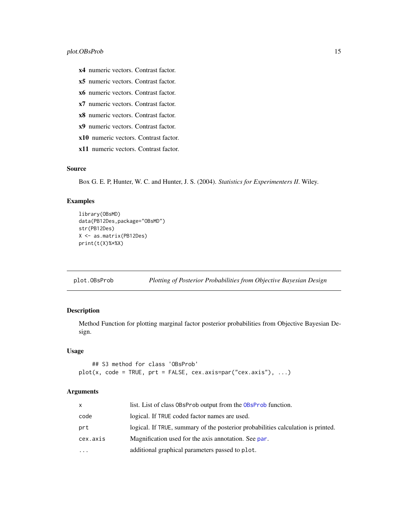- <span id="page-14-0"></span>x4 numeric vectors. Contrast factor.
- x5 numeric vectors. Contrast factor.
- x6 numeric vectors. Contrast factor.
- x7 numeric vectors. Contrast factor.
- x8 numeric vectors. Contrast factor.
- x9 numeric vectors. Contrast factor.
- x10 numeric vectors. Contrast factor.
- x11 numeric vectors. Contrast factor.

#### Source

Box G. E. P, Hunter, W. C. and Hunter, J. S. (2004). *Statistics for Experimenters II*. Wiley.

# Examples

```
library(OBsMD)
data(PB12Des,package="OBsMD")
str(PB12Des)
X <- as.matrix(PB12Des)
print(t(X)%*%X)
```
<span id="page-14-1"></span>plot.OBsProb *Plotting of Posterior Probabilities from Objective Bayesian Design*

# Description

Method Function for plotting marginal factor posterior probabilities from Objective Bayesian Design.

# Usage

```
## S3 method for class 'OBsProb'
plot(x, code = TRUE, pret = FALSE, cex.axis=par("cex.axis"), ...)
```
#### Arguments

| <b>X</b>                | list. List of class 0BsProb output from the 0BsProb function.                    |
|-------------------------|----------------------------------------------------------------------------------|
| code                    | logical. If TRUE coded factor names are used.                                    |
| prt                     | logical. If TRUE, summary of the posterior probabilities calculation is printed. |
| cex.axis                | Magnification used for the axis annotation. See par.                             |
| $\cdot$ $\cdot$ $\cdot$ | additional graphical parameters passed to plot.                                  |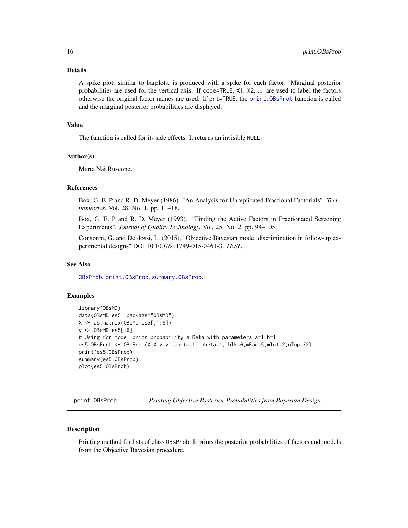# <span id="page-15-0"></span>Details

A spike plot, similar to barplots, is produced with a spike for each factor. Marginal posterior probabilities are used for the vertical axis. If code=TRUE, X1, X2, ... are used to label the factors otherwise the original factor names are used. If prt=TRUE, the [print.OBsProb](#page-15-1) function is called and the marginal posterior probabilities are displayed.

# Value

The function is called for its side effects. It returns an invisible NULL.

#### Author(s)

Marta Nai Ruscone.

#### References

Box, G. E. P and R. D. Meyer (1986). "An Analysis for Unreplicated Fractional Factorials". *Technometrics.* Vol. 28. No. 1. pp. 11–18.

Box, G. E. P and R. D. Meyer (1993). "Finding the Active Factors in Fractionated Screening Experiments". *Journal of Quality Technology.* Vol. 25. No. 2. pp. 94–105.

Consonni, G. and Deldossi, L. (2015), "Objective Bayesian model discrimination in follow-up experimental designs" DOI 10.1007/s11749-015-0461-3. *TEST*.

#### See Also

[OBsProb](#page-7-1), [print.OBsProb](#page-15-1), [summary.OBsProb](#page-20-1).

### Examples

```
library(OBsMD)
data(OBsMD.es5, package="OBsMD")
X <- as.matrix(OBsMD.es5[,1:5])
y <- OBsMD.es5[,6]
# Using for model prior probability a Beta with parameters a=1 b=1
es5.OBsProb <- OBsProb(X=X,y=y, abeta=1, bbeta=1, blk=0,mFac=5,mInt=2,nTop=32)
print(es5.OBsProb)
summary(es5.OBsProb)
plot(es5.OBsProb)
```
<span id="page-15-1"></span>print.OBsProb *Printing Objective Posterior Probabilities from Bayesian Design*

#### Description

Printing method for lists of class OBsProb. It prints the posterior probabilities of factors and models from the Objective Bayesian procedure.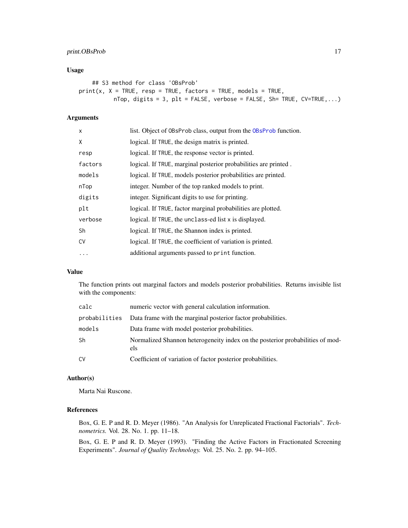# print.OBsProb 17

# Usage

```
## S3 method for class 'OBsProb'
print(x, X = TRUE, resp = TRUE, factors = TRUE, models = TRUE,nTop, digits = 3, plt = FALSE, verbose = FALSE, Sh= TRUE, CV=True, ...)
```
# Arguments

| X         | list. Object of OBsProb class, output from the OBsProb function. |
|-----------|------------------------------------------------------------------|
| X         | logical. If TRUE, the design matrix is printed.                  |
| resp      | logical. If TRUE, the response vector is printed.                |
| factors   | logical. If TRUE, marginal posterior probabilities are printed.  |
| models    | logical. If TRUE, models posterior probabilities are printed.    |
| nTop      | integer. Number of the top ranked models to print.               |
| digits    | integer. Significant digits to use for printing.                 |
| plt       | logical. If TRUE, factor marginal probabilities are plotted.     |
| verbose   | logical. If TRUE, the unclass-ed list x is displayed.            |
| Sh        | logical. If TRUE, the Shannon index is printed.                  |
| <b>CV</b> | logical. If TRUE, the coefficient of variation is printed.       |
| .         | additional arguments passed to print function.                   |

# Value

The function prints out marginal factors and models posterior probabilities. Returns invisible list with the components:

| calc   | numeric vector with general calculation information.                                 |
|--------|--------------------------------------------------------------------------------------|
|        | probabilities Data frame with the marginal posterior factor probabilities.           |
| models | Data frame with model posterior probabilities.                                       |
| Sh     | Normalized Shannon heterogeneity index on the posterior probabilities of mod-<br>els |
| C٧     | Coefficient of variation of factor posterior probabilities.                          |

# Author(s)

Marta Nai Ruscone.

#### References

Box, G. E. P and R. D. Meyer (1986). "An Analysis for Unreplicated Fractional Factorials". *Technometrics.* Vol. 28. No. 1. pp. 11–18.

Box, G. E. P and R. D. Meyer (1993). "Finding the Active Factors in Fractionated Screening Experiments". *Journal of Quality Technology.* Vol. 25. No. 2. pp. 94–105.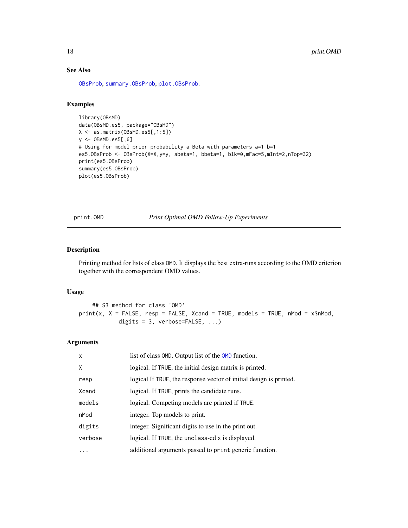# See Also

[OBsProb](#page-7-1), [summary.OBsProb](#page-20-1), [plot.OBsProb](#page-14-1).

# Examples

```
library(OBsMD)
data(OBsMD.es5, package="OBsMD")
X <- as.matrix(OBsMD.es5[,1:5])
y <- OBsMD.es5[,6]
# Using for model prior probability a Beta with parameters a=1 b=1
es5.OBsProb <- OBsProb(X=X,y=y, abeta=1, bbeta=1, blk=0,mFac=5,mInt=2,nTop=32)
print(es5.OBsProb)
summary(es5.OBsProb)
plot(es5.OBsProb)
```
<span id="page-17-1"></span>print.OMD *Print Optimal OMD Follow-Up Experiments*

# Description

Printing method for lists of class OMD. It displays the best extra-runs according to the OMD criterion together with the correspondent OMD values.

#### Usage

## S3 method for class 'OMD'  $print(x, X = FALSE, resp = FALSE, Xcand = TRUE, models = TRUE, nMod = x$nMod,$ digits = 3, verbose=FALSE, ...)

# Arguments

| $\times$ | list of class OMD. Output list of the OMD function.                |
|----------|--------------------------------------------------------------------|
| X        | logical. If TRUE, the initial design matrix is printed.            |
| resp     | logical If TRUE, the response vector of initial design is printed. |
| Xcand    | logical. If TRUE, prints the candidate runs.                       |
| models   | logical. Competing models are printed if TRUE.                     |
| nMod     | integer. Top models to print.                                      |
| digits   | integer. Significant digits to use in the print out.               |
| verbose  | logical. If TRUE, the unclass-ed x is displayed.                   |
|          | additional arguments passed to print generic function.             |
|          |                                                                    |

<span id="page-17-0"></span>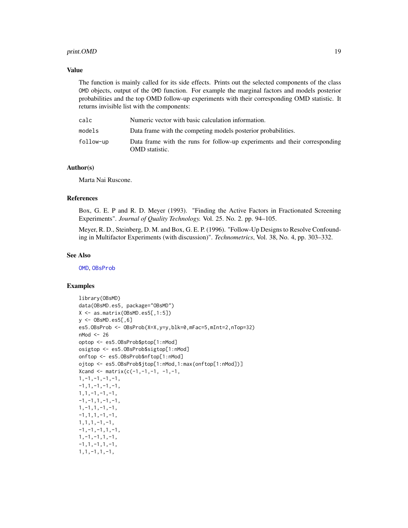#### <span id="page-18-0"></span>print.OMD 19

#### Value

The function is mainly called for its side effects. Prints out the selected components of the class OMD objects, output of the OMD function. For example the marginal factors and models posterior probabilities and the top OMD follow-up experiments with their corresponding OMD statistic. It returns invisible list with the components:

| calc      | Numeric vector with basic calculation information.                                           |
|-----------|----------------------------------------------------------------------------------------------|
| models    | Data frame with the competing models posterior probabilities.                                |
| follow-up | Data frame with the runs for follow-up experiments and their corresponding<br>OMD statistic. |

#### Author(s)

Marta Nai Ruscone.

#### References

Box, G. E. P and R. D. Meyer (1993). "Finding the Active Factors in Fractionated Screening Experiments". *Journal of Quality Technology.* Vol. 25. No. 2. pp. 94–105.

Meyer, R. D., Steinberg, D. M. and Box, G. E. P. (1996). "Follow-Up Designs to Resolve Confounding in Multifactor Experiments (with discussion)". *Technometrics*, Vol. 38, No. 4, pp. 303–332.

#### See Also

[OMD](#page-10-1), [OBsProb](#page-7-1)

```
library(OBsMD)
data(OBsMD.es5, package="OBsMD")
X <- as.matrix(OBsMD.es5[,1:5])
y \le - OBsMD.es5[,6]
es5.OBsProb <- OBsProb(X=X,y=y,blk=0,mFac=5,mInt=2,nTop=32)
nMod <- 26
optop <- es5.OBsProb$ptop[1:nMod]
osigtop <- es5.OBsProb$sigtop[1:nMod]
onftop <- es5.OBsProb$nftop[1:nMod]
ojtop <- es5.OBsProb$jtop[1:nMod,1:max(onftop[1:nMod])]
Xcand \leq matrix(c(-1,-1,-1, -1,-1,
1,-1,-1,-1,-1,
-1, 1, -1, -1, -1,1,1,-1,-1,-1,
-1, -1, 1, -1, -1,1,-1,1,-1,-1,
-1, 1, 1, -1, -1,1,1,1,-1,-1,
-1, -1, -1, 1, -1,1, -1, -1, 1, -1,-1,1,-1,1,-1,1,1,-1,1,-1,
```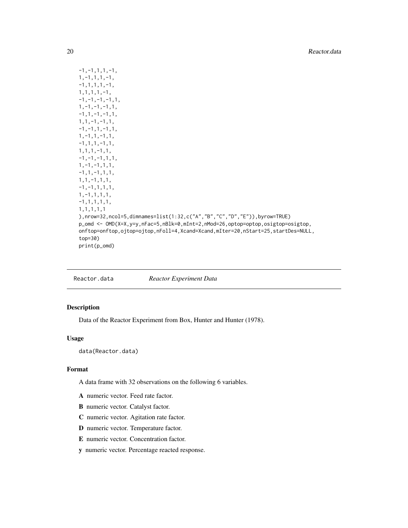```
-1, -1, 1, 1, -1,1,-1,1,1,-1,
-1,1,1,1,-1,
1,1,1,1,-1,
-1, -1, -1, -1, 1,1,-1,-1,-1,1,
-1, 1, -1, -1, 1,1,1,-1,-1,1,
-1, -1, 1, -1, 1,1,-1,1,-1,1,
-1,1,1,-1,1,
1,1,1,-1,1,
-1, -1, -1, 1, 1,1,-1,-1,1,1,
-1,1,-1,1,1,
1,1,-1,1,1,
-1,-1,1,1,1,
1,-1,1,1,1,
-1,1,1,1,1,
1,1,1,1,1
),nrow=32,ncol=5,dimnames=list(1:32,c("A","B","C","D","E")),byrow=TRUE)
p_omd <- OMD(X=X,y=y,nFac=5,nBlk=0,mInt=2,nMod=26,optop=optop,osigtop=osigtop,
onftop=onftop,ojtop=ojtop,nFoll=4,Xcand=Xcand,mIter=20,nStart=25,startDes=NULL,
top=30)
print(p_omd)
```
Reactor.data *Reactor Experiment Data*

# Description

Data of the Reactor Experiment from Box, Hunter and Hunter (1978).

# Usage

data(Reactor.data)

#### Format

A data frame with 32 observations on the following 6 variables.

- A numeric vector. Feed rate factor.
- B numeric vector. Catalyst factor.
- C numeric vector. Agitation rate factor.
- D numeric vector. Temperature factor.
- E numeric vector. Concentration factor.
- y numeric vector. Percentage reacted response.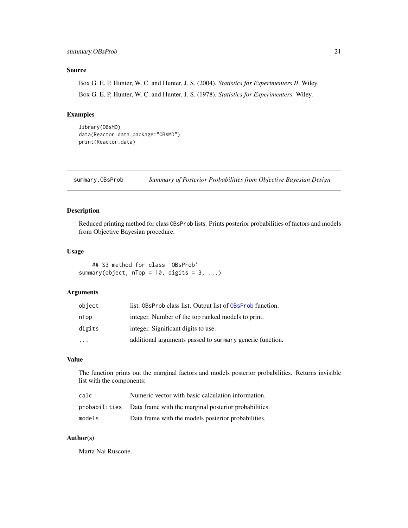# <span id="page-20-0"></span>Source

Box G. E. P, Hunter, W. C. and Hunter, J. S. (2004). *Statistics for Experimenters II*. Wiley. Box G. E. P, Hunter, W. C. and Hunter, J. S. (1978). *Statistics for Experimenters*. Wiley.

# Examples

```
library(OBsMD)
data(Reactor.data,package="OBsMD")
print(Reactor.data)
```
<span id="page-20-1"></span>summary.OBsProb *Summary of Posterior Probabilities from Objective Bayesian Design*

# Description

Reduced printing method for class OBsProb lists. Prints posterior probabilities of factors and models from Objective Bayesian procedure.

#### Usage

```
## S3 method for class 'OBsProb'
summary(object, nTop = 10, digits = 3, ...)
```
#### Arguments

| object    | list. OBsProb class list. Output list of OBsProb function. |
|-----------|------------------------------------------------------------|
| nTop      | integer. Number of the top ranked models to print.         |
| digits    | integer. Significant digits to use.                        |
| $\ddotsc$ | additional arguments passed to summary generic function.   |

# Value

The function prints out the marginal factors and models posterior probabilities. Returns invisible list with the components:

| calc   | Numeric vector with basic calculation information.                  |
|--------|---------------------------------------------------------------------|
|        | probabilities Data frame with the marginal posterior probabilities. |
| models | Data frame with the models posterior probabilities.                 |

#### Author(s)

Marta Nai Ruscone.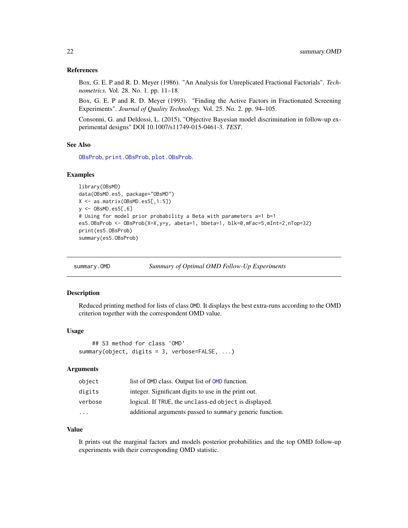#### <span id="page-21-0"></span>References

Box, G. E. P and R. D. Meyer (1986). "An Analysis for Unreplicated Fractional Factorials". *Technometrics.* Vol. 28. No. 1. pp. 11–18.

Box, G. E. P and R. D. Meyer (1993). "Finding the Active Factors in Fractionated Screening Experiments". *Journal of Quality Technology.* Vol. 25. No. 2. pp. 94–105.

Consonni, G. and Deldossi, L. (2015), "Objective Bayesian model discrimination in follow-up experimental designs" DOI 10.1007/s11749-015-0461-3. *TEST*.

# See Also

[OBsProb](#page-7-1), [print.OBsProb](#page-15-1), [plot.OBsProb](#page-14-1).

#### Examples

```
library(OBsMD)
data(OBsMD.es5, package="OBsMD")
X <- as.matrix(OBsMD.es5[,1:5])
y <- OBsMD.es5[,6]
# Using for model prior probability a Beta with parameters a=1 b=1
es5.OBsProb <- OBsProb(X=X,y=y, abeta=1, bbeta=1, blk=0,mFac=5,mInt=2,nTop=32)
print(es5.OBsProb)
summary(es5.OBsProb)
```
summary.OMD *Summary of Optimal OMD Follow-Up Experiments*

# Description

Reduced printing method for lists of class OMD. It displays the best extra-runs according to the OMD criterion together with the correspondent OMD value.

#### Usage

```
## S3 method for class 'OMD'
summary(object, digits = 3, verbose=FALSE, ...)
```
#### Arguments

| object                  | list of OMD class. Output list of OMD function.          |
|-------------------------|----------------------------------------------------------|
| digits                  | integer. Significant digits to use in the print out.     |
| verbose                 | logical. If TRUE, the unclass-ed object is displayed.    |
| $\cdot$ $\cdot$ $\cdot$ | additional arguments passed to summary generic function. |

#### Value

It prints out the marginal factors and models posterior probabilities and the top OMD follow-up experiments with their corresponding OMD statistic.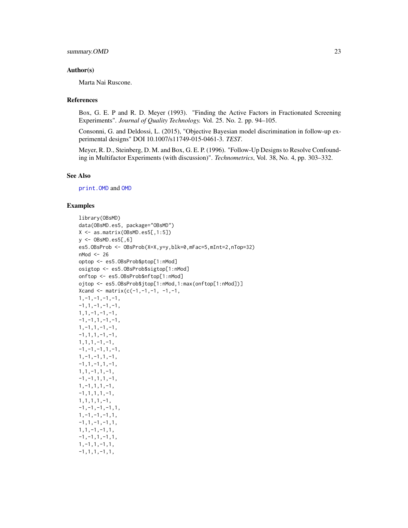#### <span id="page-22-0"></span>Author(s)

Marta Nai Ruscone.

#### References

Box, G. E. P and R. D. Meyer (1993). "Finding the Active Factors in Fractionated Screening Experiments". *Journal of Quality Technology.* Vol. 25. No. 2. pp. 94–105.

Consonni, G. and Deldossi, L. (2015), "Objective Bayesian model discrimination in follow-up experimental designs" DOI 10.1007/s11749-015-0461-3. *TEST*.

Meyer, R. D., Steinberg, D. M. and Box, G. E. P. (1996). "Follow-Up Designs to Resolve Confounding in Multifactor Experiments (with discussion)". *Technometrics*, Vol. 38, No. 4, pp. 303–332.

#### See Also

[print.OMD](#page-17-1) and [OMD](#page-10-1)

```
library(OBsMD)
data(OBsMD.es5, package="OBsMD")
X <- as.matrix(OBsMD.es5[,1:5])
y \le - OBsMD.es5[.6]
es5.OBsProb <- OBsProb(X=X,y=y,blk=0,mFac=5,mInt=2,nTop=32)
nMod <- 26
optop <- es5.OBsProb$ptop[1:nMod]
osigtop <- es5.OBsProb$sigtop[1:nMod]
onftop <- es5.OBsProb$nftop[1:nMod]
ojtop <- es5.OBsProb$jtop[1:nMod,1:max(onftop[1:nMod])]
Xcand \leftarrow matrix(c(-1,-1,-1,-1,-1,-1)1,-1,-1,-1,-1,
-1,1,-1,-1,-1,1,1,-1,-1,-1,
-1, -1, 1, -1, -1,1,-1,1,-1,-1,
-1,1,1,-1,-1,1,1,1,-1,-1,
-1, -1, -1, 1, -1,1,-1,-1,1,-1,
-1,1,-1,1,-1,1,1,-1,1,-1,
-1, -1, 1, 1, -1,1,-1,1,1,-1,
-1,1,1,1,-1,1,1,1,1,-1,
-1, -1, -1, -1, 1,1,-1,-1,-1,1,
-1,1,-1,-1,1,1,1,-1,-1,1,
-1, -1, 1, -1, 1,1,-1,1,-1,1,
-1,1,1,-1,1,
```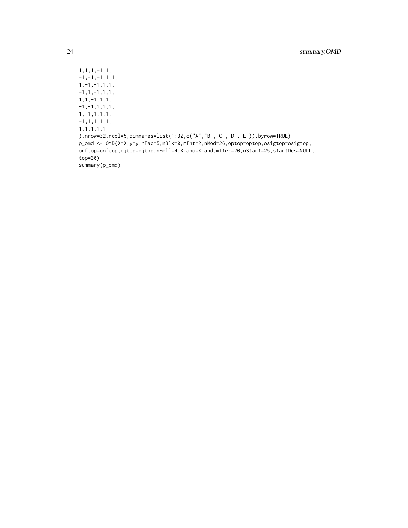1,1,1,-1,1,  $-1, -1, -1, 1, 1,$ 1,-1,-1,1,1,  $-1,1,-1,1,1,$ 1,1,-1,1,1,  $-1, -1, 1, 1, 1,$ 1,-1,1,1,1, -1,1,1,1,1, 1,1,1,1,1 ),nrow=32,ncol=5,dimnames=list(1:32,c("A","B","C","D","E")),byrow=TRUE) p\_omd <- OMD(X=X,y=y,nFac=5,nBlk=0,mInt=2,nMod=26,optop=optop,osigtop=osigtop, onftop=onftop,ojtop=ojtop,nFoll=4,Xcand=Xcand,mIter=20,nStart=25,startDes=NULL, top=30) summary(p\_omd)